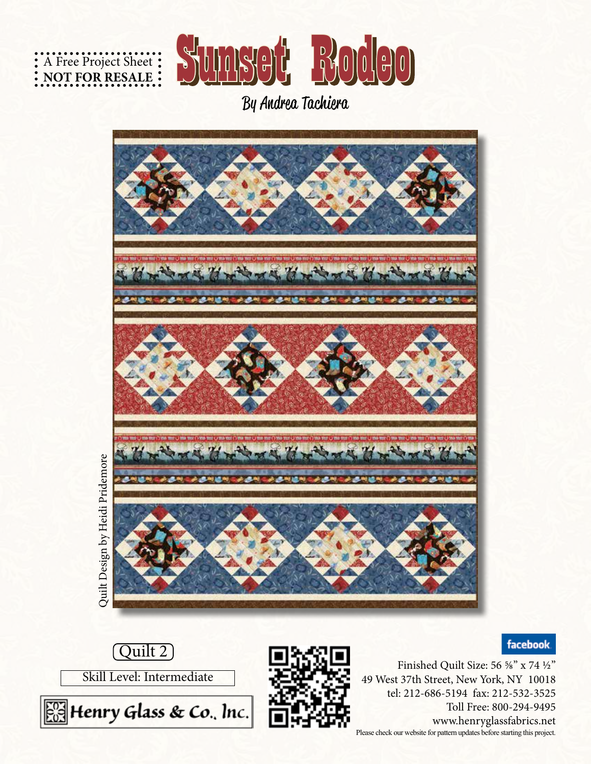



By Andrea Tachiera



**facebook** 







Finished Quilt Size: 56 ⅝" x 74 ½" 49 West 37th Street, New York, NY 10018 tel: 212-686-5194 fax: 212-532-3525 Toll Free: 800-294-9495 www.henryglassfabrics.net Please check our website for pattern updates before starting this project.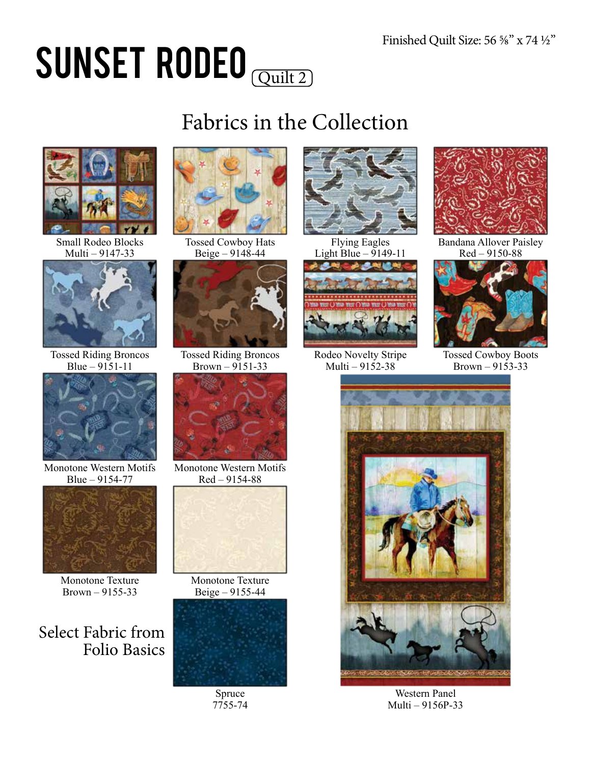# SUNSET RODEO

### Fabrics in the Collection



Small Rodeo Blocks Multi – 9147-33



Tossed Riding Broncos Blue – 9151-11



Monotone Western Motifs Blue – 9154-77



Monotone Texture Brown – 9155-33

Select Fabric from Folio Basics



Tossed Cowboy Hats Beige – 9148-44



Tossed Riding Broncos  $Brown - 9151 - 33$ 



Monotone Western Motifs Red – 9154-88



Monotone Texture Beige – 9155-44



Spruce 7755-74



Flying Eagles Light Blue  $-9149-11$ 



Rodeo Novelty Stripe Multi –  $9152 - 38$ 



Bandana Allover Paisley Red – 9150-88



Tossed Cowboy Boots Brown –  $91\overline{5}3 - 33$ 



Western Panel Multi – 9156P-33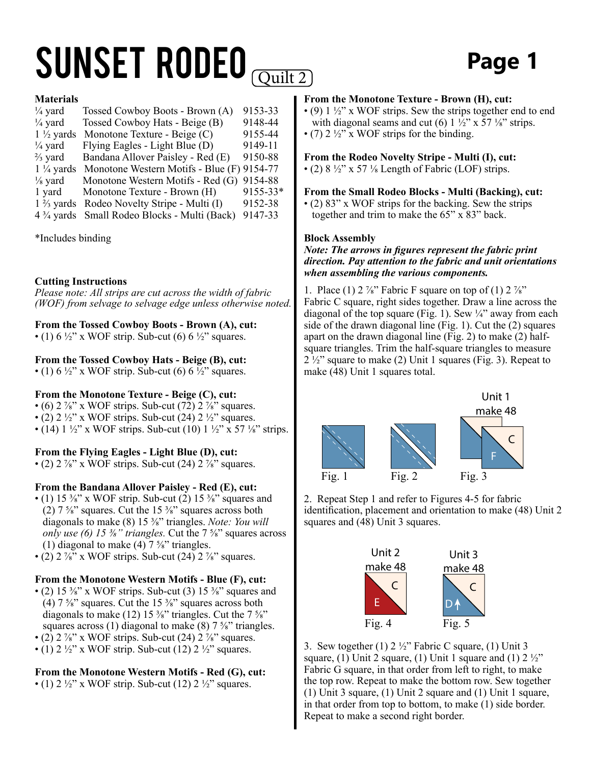## SUNSET RODEO **COULD** Page 1

#### **Materials**

| $\frac{1}{4}$ yard   | Tossed Cowboy Boots - Brown (A)                           | 9153-33  |
|----------------------|-----------------------------------------------------------|----------|
| $\frac{1}{4}$ yard   | Tossed Cowboy Hats - Beige (B)                            | 9148-44  |
| $1\frac{1}{2}$ yards | Monotone Texture - Beige (C)                              | 9155-44  |
| $\frac{1}{4}$ yard   | Flying Eagles - Light Blue (D)                            | 9149-11  |
| $\frac{2}{3}$ yard   | Bandana Allover Paisley - Red (E)                         | 9150-88  |
| $1\frac{1}{4}$ yards | Monotone Western Motifs - Blue (F) 9154-77                |          |
| $\frac{1}{8}$ yard   | Monotone Western Motifs - Red (G)                         | 9154-88  |
| 1 yard               | Monotone Texture - Brown (H)                              | 9155-33* |
| $1\frac{2}{3}$ yards | Rodeo Novelty Stripe - Multi (I)                          | 9152-38  |
|                      | 4 <sup>3</sup> /4 yards Small Rodeo Blocks - Multi (Back) | 9147-33  |

\*Includes binding

#### **Cutting Instructions**

*Please note: All strips are cut across the width of fabric (WOF) from selvage to selvage edge unless otherwise noted.*

### **From the Tossed Cowboy Boots - Brown (A), cut:**

• (1)  $6\frac{1}{2}$ " x WOF strip. Sub-cut (6)  $6\frac{1}{2}$ " squares.

#### **From the Tossed Cowboy Hats - Beige (B), cut:**

• (1) 6  $\frac{1}{2}$ " x WOF strip. Sub-cut (6) 6  $\frac{1}{2}$ " squares.

### **From the Monotone Texture - Beige (C), cut:**

• (6)  $2\frac{7}{8}$ " x WOF strips. Sub-cut (72)  $2\frac{7}{8}$ " squares. • (2)  $2\frac{1}{2}$ " x WOF strips. Sub-cut (24)  $2\frac{1}{2}$ " squares. • (14)  $1\frac{1}{2}$ " x WOF strips. Sub-cut (10)  $1\frac{1}{2}$ " x 57  $\frac{1}{8}$ " strips.

### **From the Flying Eagles - Light Blue (D), cut:**

• (2)  $2\frac{7}{8}$ " x WOF strips. Sub-cut (24)  $2\frac{7}{8}$ " squares.

#### **From the Bandana Allover Paisley - Red (E), cut:**

- (1) 15  $\frac{3}{8}$ " x WOF strip. Sub-cut (2) 15  $\frac{3}{8}$ " squares and (2)  $7\frac{5}{8}$ " squares. Cut the 15  $\frac{3}{8}$ " squares across both diagonals to make (8) 15 ⅜" triangles. *Note: You will only use (6) 15 ⅜" triangles.* Cut the 7 ⅝" squares across (1) diagonal to make  $(4)$  7  $\frac{5}{8}$ " triangles.
- (2)  $2\frac{7}{8}$  x WOF strips. Sub-cut (24)  $2\frac{7}{8}$  squares.

#### **From the Monotone Western Motifs - Blue (F), cut:**

- (2) 15  $\frac{3}{8}$ " x WOF strips. Sub-cut (3) 15  $\frac{3}{8}$ " squares and (4)  $7\frac{5}{8}$ " squares. Cut the 15  $\frac{3}{8}$ " squares across both diagonals to make (12) 15  $\frac{3}{8}$ " triangles. Cut the 7  $\frac{5}{8}$ " squares across (1) diagonal to make (8)  $7\frac{5}{8}$ " triangles.
- (2)  $2\frac{7}{8}$ " x WOF strips. Sub-cut (24)  $2\frac{7}{8}$ " squares.
- (1)  $2\frac{1}{2}$ " x WOF strip. Sub-cut (12)  $2\frac{1}{2}$ " squares.

### **From the Monotone Western Motifs - Red (G), cut:**

• (1)  $2 \frac{1}{2}$ " x WOF strip. Sub-cut (12)  $2 \frac{1}{2}$ " squares.

#### **From the Monotone Texture - Brown (H), cut:**

- (9) 1 ½" x WOF strips. Sew the strips together end to end with diagonal seams and cut (6)  $1\frac{1}{2}$ " x 57  $\frac{1}{8}$ " strips. • (7)  $2\frac{1}{2}$ " x WOF strips for the binding.
- 

#### **From the Rodeo Novelty Stripe - Multi (I), cut:**

• (2)  $8\frac{1}{2}$ " x 57  $\frac{1}{8}$  Length of Fabric (LOF) strips.

**From the Small Rodeo Blocks - Multi (Backing), cut:**

• (2) 83" x WOF strips for the backing. Sew the strips together and trim to make the 65" x 83" back.

#### **Block Assembly**

#### *Note: The arrows in figures represent the fabric print direction. Pay attention to the fabric and unit orientations when assembling the various components.*

1. Place (1) 2  $\frac{7}{8}$ " Fabric F square on top of (1) 2  $\frac{7}{8}$ " Fabric C square, right sides together. Draw a line across the diagonal of the top square (Fig. 1). Sew ¼" away from each side of the drawn diagonal line (Fig. 1). Cut the (2) squares apart on the drawn diagonal line (Fig. 2) to make (2) halfsquare triangles. Trim the half-square triangles to measure  $2\frac{1}{2}$ " square to make (2) Unit 1 squares (Fig. 3). Repeat to make (48) Unit 1 squares total.



2. Repeat Step 1 and refer to Figures 4-5 for fabric identification, placement and orientation to make (48) Unit 2 squares and (48) Unit 3 squares.



3. Sew together (1)  $2\frac{1}{2}$ " Fabric C square, (1) Unit 3 square, (1) Unit 2 square, (1) Unit 1 square and (1)  $2 \frac{1}{2}$ " Fabric G square, in that order from left to right, to make the top row. Repeat to make the bottom row. Sew together (1) Unit 3 square, (1) Unit 2 square and (1) Unit 1 square, in that order from top to bottom, to make (1) side border. Repeat to make a second right border.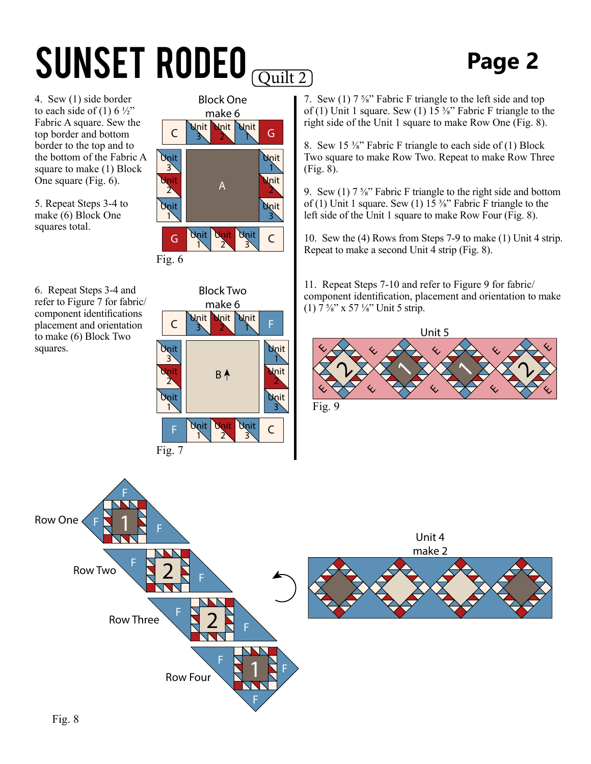## SUNSET RODEO *Quilt 2* Page 2

4. Sew (1) side border to each side of (1)  $6\frac{1}{2}$ " Fabric A square. Sew the top border and bottom border to the top and to the bottom of the Fabric A square to make (1) Block One square (Fig. 6).

5. Repeat Steps 3-4 to make (6) Block One squares total.



6. Repeat Steps 3-4 and refer to Figure 7 for fabric/ component identifications placement and orientation to make (6) Block Two squares.



7. Sew (1) 7 ⅝" Fabric F triangle to the left side and top of (1) Unit 1 square. Sew (1) 15  $\frac{3}{8}$ " Fabric F triangle to the right side of the Unit 1 square to make Row One (Fig. 8).

8. Sew 15 ⅜" Fabric F triangle to each side of (1) Block Two square to make Row Two. Repeat to make Row Three (Fig. 8).

9. Sew (1)  $7\frac{5}{8}$ " Fabric F triangle to the right side and bottom of (1) Unit 1 square. Sew (1) 15  $\frac{3}{8}$ " Fabric F triangle to the left side of the Unit 1 square to make Row Four (Fig. 8).

10. Sew the (4) Rows from Steps 7-9 to make (1) Unit 4 strip. Repeat to make a second Unit 4 strip (Fig. 8).

11. Repeat Steps 7-10 and refer to Figure 9 for fabric/ component identification, placement and orientation to make (1)  $7\frac{5}{8}$ " x 57  $\frac{1}{8}$ " Unit 5 strip.



Fig. 9